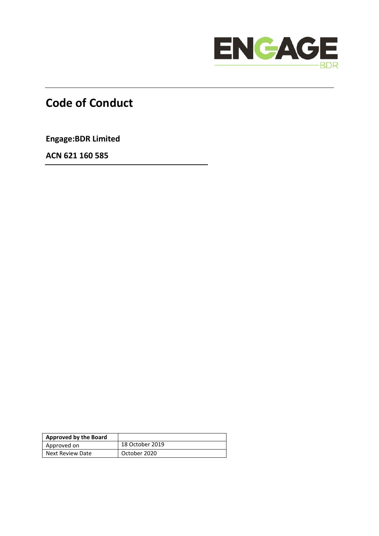

# **Code of Conduct**

**Engage:BDR Limited**

**ACN 621 160 585**

| Approved by the Board |                 |
|-----------------------|-----------------|
| Approved on           | 18 October 2019 |
| Next Review Date      | October 2020    |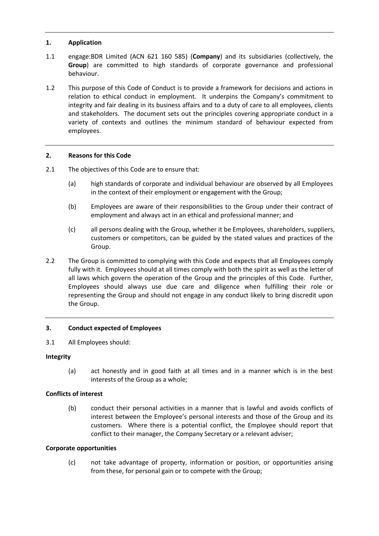## **1. Application**

- 1.1 engage:BDR Limited (ACN 621 160 585) (**Company**) and its subsidiaries (collectively, the **Group**) are committed to high standards of corporate governance and professional behaviour.
- 1.2 This purpose of this Code of Conduct is to provide a framework for decisions and actions in relation to ethical conduct in employment. It underpins the Company's commitment to integrity and fair dealing in its business affairs and to a duty of care to all employees, clients and stakeholders. The document sets out the principles covering appropriate conduct in a variety of contexts and outlines the minimum standard of behaviour expected from employees.

## **2. Reasons for this Code**

- 2.1 The objectives of this Code are to ensure that:
	- (a) high standards of corporate and individual behaviour are observed by all Employees in the context of their employment or engagement with the Group;
	- (b) Employees are aware of their responsibilities to the Group under their contract of employment and always act in an ethical and professional manner; and
	- (c) all persons dealing with the Group, whether it be Employees, shareholders, suppliers, customers or competitors, can be guided by the stated values and practices of the Group.
- 2.2 The Group is committed to complying with this Code and expects that all Employees comply fully with it. Employees should at all times comply with both the spirit as well as the letter of all laws which govern the operation of the Group and the principles of this Code. Further, Employees should always use due care and diligence when fulfilling their role or representing the Group and should not engage in any conduct likely to bring discredit upon the Group.

#### **3. Conduct expected of Employees**

3.1 All Employees should:

#### **Integrity**

(a) act honestly and in good faith at all times and in a manner which is in the best interests of the Group as a whole;

#### **Conflicts of interest**

(b) conduct their personal activities in a manner that is lawful and avoids conflicts of interest between the Employee's personal interests and those of the Group and its customers. Where there is a potential conflict, the Employee should report that conflict to their manager, the Company Secretary or a relevant adviser;

#### **Corporate opportunities**

(c) not take advantage of property, information or position, or opportunities arising from these, for personal gain or to compete with the Group;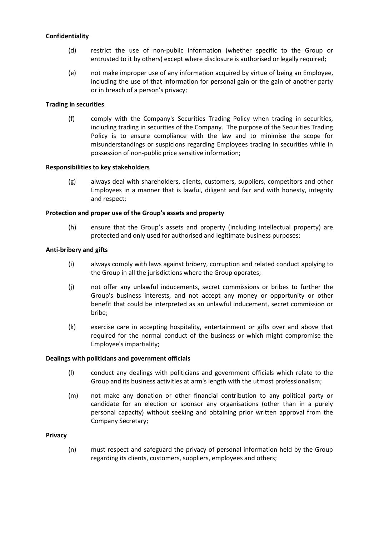### **Confidentiality**

- (d) restrict the use of non-public information (whether specific to the Group or entrusted to it by others) except where disclosure is authorised or legally required;
- (e) not make improper use of any information acquired by virtue of being an Employee, including the use of that information for personal gain or the gain of another party or in breach of a person's privacy;

#### **Trading in securities**

(f) comply with the Company's Securities Trading Policy when trading in securities, including trading in securities of the Company. The purpose of the Securities Trading Policy is to ensure compliance with the law and to minimise the scope for misunderstandings or suspicions regarding Employees trading in securities while in possession of non-public price sensitive information;

#### **Responsibilities to key stakeholders**

(g) always deal with shareholders, clients, customers, suppliers, competitors and other Employees in a manner that is lawful, diligent and fair and with honesty, integrity and respect;

#### **Protection and proper use of the Group's assets and property**

(h) ensure that the Group's assets and property (including intellectual property) are protected and only used for authorised and legitimate business purposes;

## **Anti-bribery and gifts**

- (i) always comply with laws against bribery, corruption and related conduct applying to the Group in all the jurisdictions where the Group operates;
- (j) not offer any unlawful inducements, secret commissions or bribes to further the Group's business interests, and not accept any money or opportunity or other benefit that could be interpreted as an unlawful inducement, secret commission or bribe;
- (k) exercise care in accepting hospitality, entertainment or gifts over and above that required for the normal conduct of the business or which might compromise the Employee's impartiality;

#### **Dealings with politicians and government officials**

- (l) conduct any dealings with politicians and government officials which relate to the Group and its business activities at arm's length with the utmost professionalism;
- (m) not make any donation or other financial contribution to any political party or candidate for an election or sponsor any organisations (other than in a purely personal capacity) without seeking and obtaining prior written approval from the Company Secretary;

#### **Privacy**

(n) must respect and safeguard the privacy of personal information held by the Group regarding its clients, customers, suppliers, employees and others;